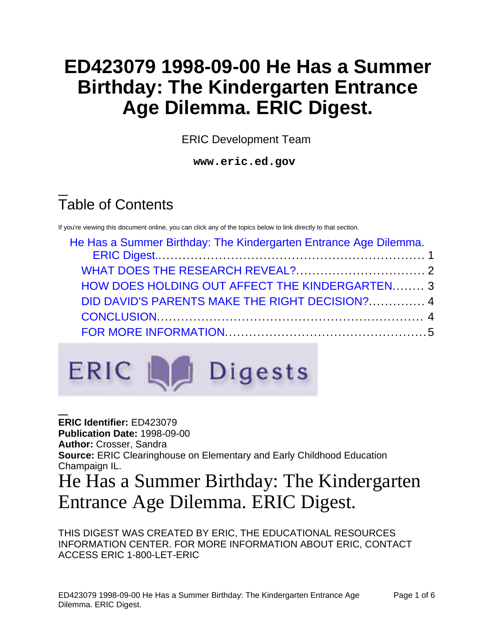# **ED423079 1998-09-00 He Has a Summer Birthday: The Kindergarten Entrance Age Dilemma. ERIC Digest.**

ERIC Development Team

**www.eric.ed.gov**

# Table of Contents

If you're viewing this document online, you can click any of the topics below to link directly to that section.

| He Has a Summer Birthday: The Kindergarten Entrance Age Dilemma. |  |
|------------------------------------------------------------------|--|
|                                                                  |  |
|                                                                  |  |
| HOW DOES HOLDING OUT AFFECT THE KINDERGARTEN 3                   |  |
| DID DAVID'S PARENTS MAKE THE RIGHT DECISION?  4                  |  |
|                                                                  |  |
|                                                                  |  |



<span id="page-0-0"></span>**ERIC Identifier:** ED423079 **Publication Date:** 1998-09-00 **Author:** Crosser, Sandra **Source:** ERIC Clearinghouse on Elementary and Early Childhood Education Champaign IL. He Has a Summer Birthday: The Kindergarten Entrance Age Dilemma. ERIC Digest.

THIS DIGEST WAS CREATED BY ERIC, THE EDUCATIONAL RESOURCES INFORMATION CENTER. FOR MORE INFORMATION ABOUT ERIC, CONTACT ACCESS ERIC 1-800-LET-ERIC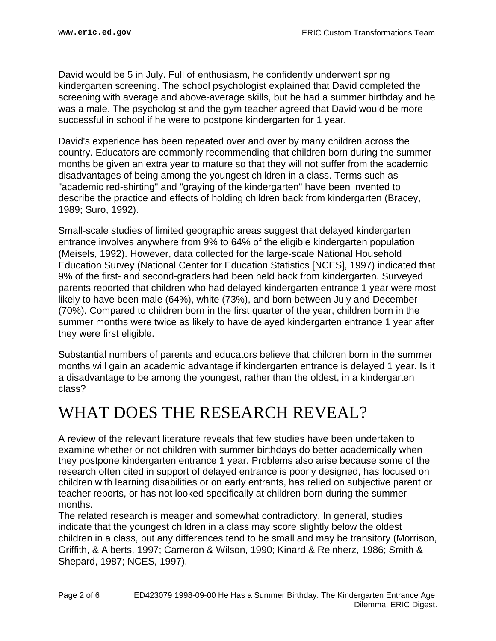David would be 5 in July. Full of enthusiasm, he confidently underwent spring kindergarten screening. The school psychologist explained that David completed the screening with average and above-average skills, but he had a summer birthday and he was a male. The psychologist and the gym teacher agreed that David would be more successful in school if he were to postpone kindergarten for 1 year.

David's experience has been repeated over and over by many children across the country. Educators are commonly recommending that children born during the summer months be given an extra year to mature so that they will not suffer from the academic disadvantages of being among the youngest children in a class. Terms such as "academic red-shirting" and "graying of the kindergarten" have been invented to describe the practice and effects of holding children back from kindergarten (Bracey, 1989; Suro, 1992).

Small-scale studies of limited geographic areas suggest that delayed kindergarten entrance involves anywhere from 9% to 64% of the eligible kindergarten population (Meisels, 1992). However, data collected for the large-scale National Household Education Survey (National Center for Education Statistics [NCES], 1997) indicated that 9% of the first- and second-graders had been held back from kindergarten. Surveyed parents reported that children who had delayed kindergarten entrance 1 year were most likely to have been male (64%), white (73%), and born between July and December (70%). Compared to children born in the first quarter of the year, children born in the summer months were twice as likely to have delayed kindergarten entrance 1 year after they were first eligible.

Substantial numbers of parents and educators believe that children born in the summer months will gain an academic advantage if kindergarten entrance is delayed 1 year. Is it a disadvantage to be among the youngest, rather than the oldest, in a kindergarten class?

#### <span id="page-1-0"></span>WHAT DOES THE RESEARCH REVEAL?

A review of the relevant literature reveals that few studies have been undertaken to examine whether or not children with summer birthdays do better academically when they postpone kindergarten entrance 1 year. Problems also arise because some of the research often cited in support of delayed entrance is poorly designed, has focused on children with learning disabilities or on early entrants, has relied on subjective parent or teacher reports, or has not looked specifically at children born during the summer months.

The related research is meager and somewhat contradictory. In general, studies indicate that the youngest children in a class may score slightly below the oldest children in a class, but any differences tend to be small and may be transitory (Morrison, Griffith, & Alberts, 1997; Cameron & Wilson, 1990; Kinard & Reinherz, 1986; Smith & Shepard, 1987; NCES, 1997).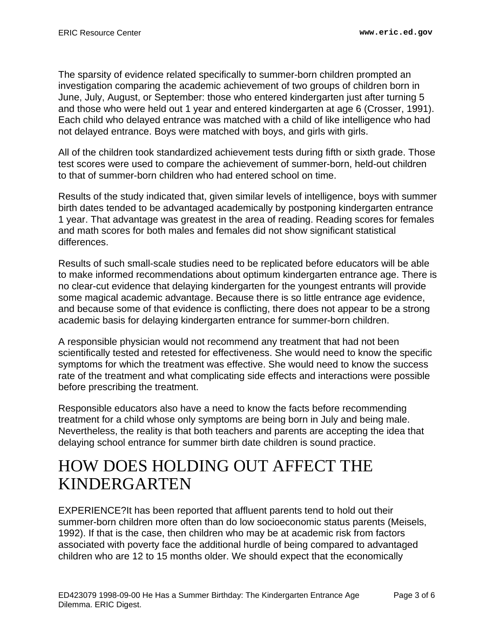The sparsity of evidence related specifically to summer-born children prompted an investigation comparing the academic achievement of two groups of children born in June, July, August, or September: those who entered kindergarten just after turning 5 and those who were held out 1 year and entered kindergarten at age 6 (Crosser, 1991). Each child who delayed entrance was matched with a child of like intelligence who had not delayed entrance. Boys were matched with boys, and girls with girls.

All of the children took standardized achievement tests during fifth or sixth grade. Those test scores were used to compare the achievement of summer-born, held-out children to that of summer-born children who had entered school on time.

Results of the study indicated that, given similar levels of intelligence, boys with summer birth dates tended to be advantaged academically by postponing kindergarten entrance 1 year. That advantage was greatest in the area of reading. Reading scores for females and math scores for both males and females did not show significant statistical differences.

Results of such small-scale studies need to be replicated before educators will be able to make informed recommendations about optimum kindergarten entrance age. There is no clear-cut evidence that delaying kindergarten for the youngest entrants will provide some magical academic advantage. Because there is so little entrance age evidence, and because some of that evidence is conflicting, there does not appear to be a strong academic basis for delaying kindergarten entrance for summer-born children.

A responsible physician would not recommend any treatment that had not been scientifically tested and retested for effectiveness. She would need to know the specific symptoms for which the treatment was effective. She would need to know the success rate of the treatment and what complicating side effects and interactions were possible before prescribing the treatment.

Responsible educators also have a need to know the facts before recommending treatment for a child whose only symptoms are being born in July and being male. Nevertheless, the reality is that both teachers and parents are accepting the idea that delaying school entrance for summer birth date children is sound practice.

### <span id="page-2-0"></span>HOW DOES HOLDING OUT AFFECT THE KINDERGARTEN

EXPERIENCE?It has been reported that affluent parents tend to hold out their summer-born children more often than do low socioeconomic status parents (Meisels, 1992). If that is the case, then children who may be at academic risk from factors associated with poverty face the additional hurdle of being compared to advantaged children who are 12 to 15 months older. We should expect that the economically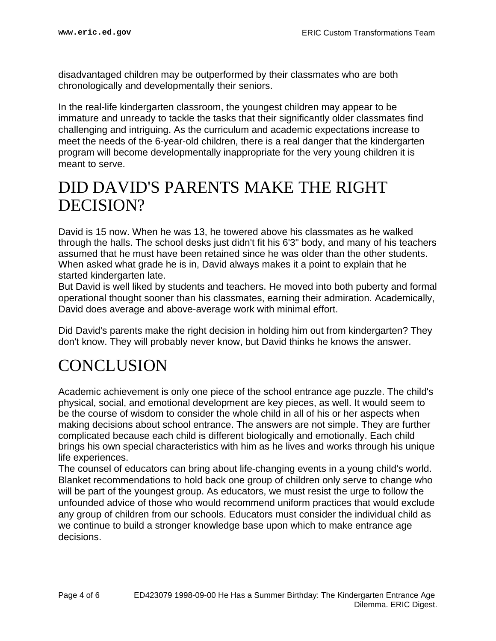disadvantaged children may be outperformed by their classmates who are both chronologically and developmentally their seniors.

In the real-life kindergarten classroom, the youngest children may appear to be immature and unready to tackle the tasks that their significantly older classmates find challenging and intriguing. As the curriculum and academic expectations increase to meet the needs of the 6-year-old children, there is a real danger that the kindergarten program will become developmentally inappropriate for the very young children it is meant to serve.

#### <span id="page-3-0"></span>DID DAVID'S PARENTS MAKE THE RIGHT DECISION?

David is 15 now. When he was 13, he towered above his classmates as he walked through the halls. The school desks just didn't fit his 6'3" body, and many of his teachers assumed that he must have been retained since he was older than the other students. When asked what grade he is in, David always makes it a point to explain that he started kindergarten late.

But David is well liked by students and teachers. He moved into both puberty and formal operational thought sooner than his classmates, earning their admiration. Academically, David does average and above-average work with minimal effort.

Did David's parents make the right decision in holding him out from kindergarten? They don't know. They will probably never know, but David thinks he knows the answer.

### <span id="page-3-1"></span>CONCLUSION

Academic achievement is only one piece of the school entrance age puzzle. The child's physical, social, and emotional development are key pieces, as well. It would seem to be the course of wisdom to consider the whole child in all of his or her aspects when making decisions about school entrance. The answers are not simple. They are further complicated because each child is different biologically and emotionally. Each child brings his own special characteristics with him as he lives and works through his unique life experiences.

The counsel of educators can bring about life-changing events in a young child's world. Blanket recommendations to hold back one group of children only serve to change who will be part of the youngest group. As educators, we must resist the urge to follow the unfounded advice of those who would recommend uniform practices that would exclude any group of children from our schools. Educators must consider the individual child as we continue to build a stronger knowledge base upon which to make entrance age decisions.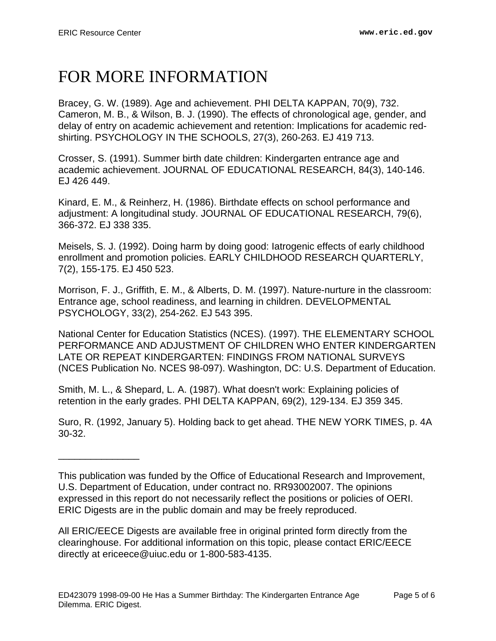\_\_\_\_\_\_\_\_\_\_\_\_\_\_\_

## <span id="page-4-0"></span>FOR MORE INFORMATION

Bracey, G. W. (1989). Age and achievement. PHI DELTA KAPPAN, 70(9), 732. Cameron, M. B., & Wilson, B. J. (1990). The effects of chronological age, gender, and delay of entry on academic achievement and retention: Implications for academic redshirting. PSYCHOLOGY IN THE SCHOOLS, 27(3), 260-263. EJ 419 713.

Crosser, S. (1991). Summer birth date children: Kindergarten entrance age and academic achievement. JOURNAL OF EDUCATIONAL RESEARCH, 84(3), 140-146. EJ 426 449.

Kinard, E. M., & Reinherz, H. (1986). Birthdate effects on school performance and adjustment: A longitudinal study. JOURNAL OF EDUCATIONAL RESEARCH, 79(6), 366-372. EJ 338 335.

Meisels, S. J. (1992). Doing harm by doing good: Iatrogenic effects of early childhood enrollment and promotion policies. EARLY CHILDHOOD RESEARCH QUARTERLY, 7(2), 155-175. EJ 450 523.

Morrison, F. J., Griffith, E. M., & Alberts, D. M. (1997). Nature-nurture in the classroom: Entrance age, school readiness, and learning in children. DEVELOPMENTAL PSYCHOLOGY, 33(2), 254-262. EJ 543 395.

National Center for Education Statistics (NCES). (1997). THE ELEMENTARY SCHOOL PERFORMANCE AND ADJUSTMENT OF CHILDREN WHO ENTER KINDERGARTEN LATE OR REPEAT KINDERGARTEN: FINDINGS FROM NATIONAL SURVEYS (NCES Publication No. NCES 98-097). Washington, DC: U.S. Department of Education.

Smith, M. L., & Shepard, L. A. (1987). What doesn't work: Explaining policies of retention in the early grades. PHI DELTA KAPPAN, 69(2), 129-134. EJ 359 345.

Suro, R. (1992, January 5). Holding back to get ahead. THE NEW YORK TIMES, p. 4A 30-32.

All ERIC/EECE Digests are available free in original printed form directly from the clearinghouse. For additional information on this topic, please contact ERIC/EECE directly at ericeece@uiuc.edu or 1-800-583-4135.

This publication was funded by the Office of Educational Research and Improvement, U.S. Department of Education, under contract no. RR93002007. The opinions expressed in this report do not necessarily reflect the positions or policies of OERI. ERIC Digests are in the public domain and may be freely reproduced.